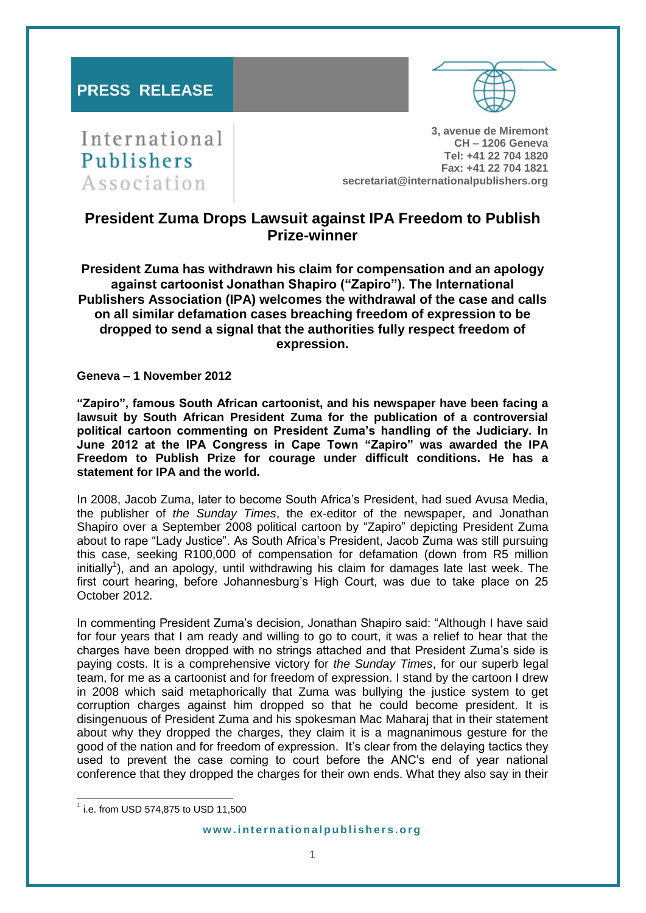# **PRESS RELEASE**



International Publishers Association

**3, avenue de Miremont CH – 1206 Geneva Tel: +41 22 704 1820 Fax: +41 22 704 1821 secretariat@internationalpublishers.org**

# **President Zuma Drops Lawsuit against IPA Freedom to Publish Prize-winner**

**President Zuma has withdrawn his claim for compensation and an apology against cartoonist Jonathan Shapiro ("Zapiro"). The International Publishers Association (IPA) welcomes the withdrawal of the case and calls on all similar defamation cases breaching freedom of expression to be dropped to send a signal that the authorities fully respect freedom of expression.**

**Geneva – 1 November 2012**

**"Zapiro", famous South African cartoonist, and his newspaper have been facing a lawsuit by South African President Zuma for the publication of a controversial political cartoon commenting on President Zuma's handling of the Judiciary. In June 2012 at the IPA Congress in Cape Town "Zapiro" was awarded the IPA Freedom to Publish Prize for courage under difficult conditions. He has a statement for IPA and the world.**

In 2008, Jacob Zuma, later to become South Africa's President, had sued Avusa Media, the publisher of *the Sunday Times*, the ex-editor of the newspaper, and Jonathan Shapiro over a September 2008 political cartoon by "Zapiro" depicting President Zuma about to rape "Lady Justice". As South Africa's President, Jacob Zuma was still pursuing this case, seeking R100,000 of compensation for defamation (down from R5 million initially<sup>1</sup>), and an apology, until withdrawing his claim for damages late last week. The first court hearing, before Johannesburg's High Court, was due to take place on 25 October 2012.

In commenting President Zuma's decision, Jonathan Shapiro said: "Although I have said for four years that I am ready and willing to go to court, it was a relief to hear that the charges have been dropped with no strings attached and that President Zuma's side is paying costs. It is a comprehensive victory for *the Sunday Times*, for our superb legal team, for me as a cartoonist and for freedom of expression. I stand by the cartoon I drew in 2008 which said metaphorically that Zuma was bullying the justice system to get corruption charges against him dropped so that he could become president. It is disingenuous of President Zuma and his spokesman Mac Maharaj that in their statement about why they dropped the charges, they claim it is a magnanimous gesture for the good of the nation and for freedom of expression. It's clear from the delaying tactics they used to prevent the case coming to court before the ANC's end of year national conference that they dropped the charges for their own ends. What they also say in their

 $\overline{a}$ 

 $^{1}$  i.e. from USD 574,875 to USD 11,500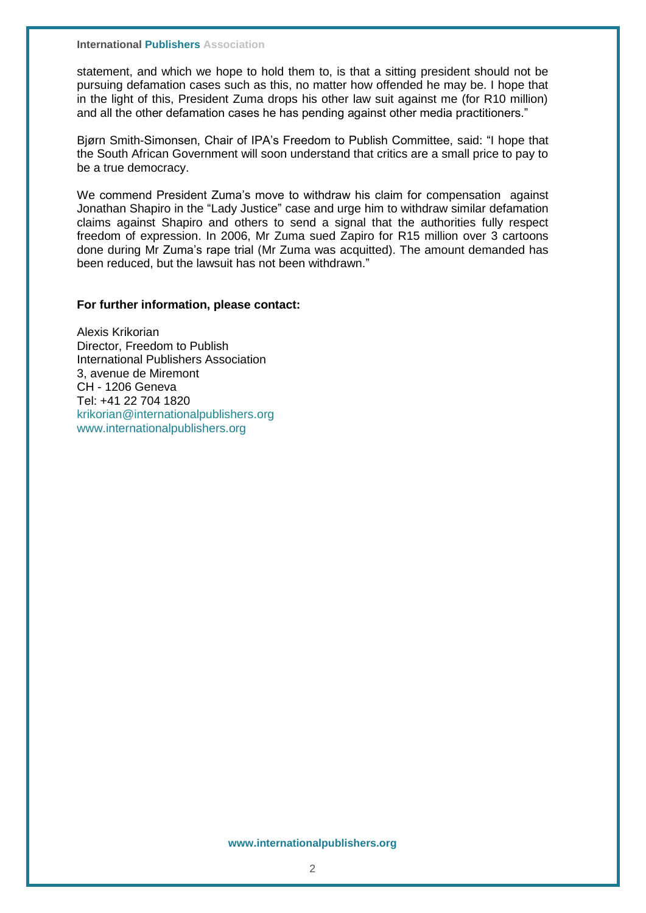**International Publishers Association** 

statement, and which we hope to hold them to, is that a sitting president should not be pursuing defamation cases such as this, no matter how offended he may be. I hope that in the light of this, President Zuma drops his other law suit against me (for R10 million) and all the other defamation cases he has pending against other media practitioners."

Bjørn Smith-Simonsen, Chair of IPA's Freedom to Publish Committee, said: "I hope that the South African Government will soon understand that critics are a small price to pay to be a true democracy.

We commend President Zuma's move to withdraw his claim for compensation against Jonathan Shapiro in the "Lady Justice" case and urge him to withdraw similar defamation claims against Shapiro and others to send a signal that the authorities fully respect freedom of expression. In 2006, Mr Zuma sued Zapiro for R15 million over 3 cartoons done during Mr Zuma's rape trial (Mr Zuma was acquitted). The amount demanded has been reduced, but the lawsuit has not been withdrawn."

### **For further information, please contact:**

Alexis Krikorian Director, Freedom to Publish International Publishers Association 3, avenue de Miremont CH - 1206 Geneva Tel: +41 22 704 1820 [krikorian@internationalpublishers.org](mailto:krikorian@internationalpublishers.org) [www.internationalpublishers.org](http://www.internationalpublishers.org/)

#### **www.internationalpublishers.org**